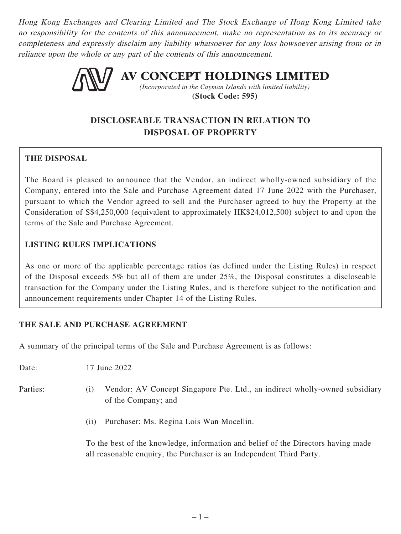Hong Kong Exchanges and Clearing Limited and The Stock Exchange of Hong Kong Limited take no responsibility for the contents of this announcement, make no representation as to its accuracy or completeness and expressly disclaim any liability whatsoever for any loss howsoever arising from or in reliance upon the whole or any part of the contents of this announcement.



# **DISCLOSEABLE TRANSACTION IN RELATION TO DISPOSAL OF PROPERTY**

## **THE DISPOSAL**

The Board is pleased to announce that the Vendor, an indirect wholly-owned subsidiary of the Company, entered into the Sale and Purchase Agreement dated 17 June 2022 with the Purchaser, pursuant to which the Vendor agreed to sell and the Purchaser agreed to buy the Property at the Consideration of S\$4,250,000 (equivalent to approximately HK\$24,012,500) subject to and upon the terms of the Sale and Purchase Agreement.

### **LISTING RULES IMPLICATIONS**

As one or more of the applicable percentage ratios (as defined under the Listing Rules) in respect of the Disposal exceeds 5% but all of them are under 25%, the Disposal constitutes a discloseable transaction for the Company under the Listing Rules, and is therefore subject to the notification and announcement requirements under Chapter 14 of the Listing Rules.

#### **THE SALE AND PURCHASE AGREEMENT**

A summary of the principal terms of the Sale and Purchase Agreement is as follows:

Date: 17 June 2022

- Parties: (i) Vendor: AV Concept Singapore Pte. Ltd., an indirect wholly-owned subsidiary of the Company; and
	- (ii) Purchaser: Ms. Regina Lois Wan Mocellin.

To the best of the knowledge, information and belief of the Directors having made all reasonable enquiry, the Purchaser is an Independent Third Party.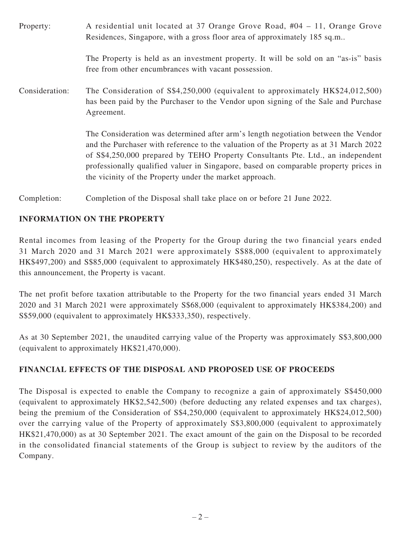| Property:      | A residential unit located at 37 Orange Grove Road, $#04 - 11$ , Orange Grove<br>Residences, Singapore, with a gross floor area of approximately 185 sq.m                                                                                                                                                                                                                                                          |
|----------------|--------------------------------------------------------------------------------------------------------------------------------------------------------------------------------------------------------------------------------------------------------------------------------------------------------------------------------------------------------------------------------------------------------------------|
|                | The Property is held as an investment property. It will be sold on an "as-is" basis<br>free from other encumbrances with vacant possession.                                                                                                                                                                                                                                                                        |
| Consideration: | The Consideration of S\$4,250,000 (equivalent to approximately HK\$24,012,500)<br>has been paid by the Purchaser to the Vendor upon signing of the Sale and Purchase<br>Agreement.                                                                                                                                                                                                                                 |
|                | The Consideration was determined after arm's length negotiation between the Vendor<br>and the Purchaser with reference to the valuation of the Property as at 31 March 2022<br>of \$\$4,250,000 prepared by TEHO Property Consultants Pte. Ltd., an independent<br>professionally qualified valuer in Singapore, based on comparable property prices in<br>the vicinity of the Property under the market approach. |

#### **INFORMATION ON THE PROPERTY**

Rental incomes from leasing of the Property for the Group during the two financial years ended 31 March 2020 and 31 March 2021 were approximately S\$88,000 (equivalent to approximately HK\$497,200) and S\$85,000 (equivalent to approximately HK\$480,250), respectively. As at the date of this announcement, the Property is vacant.

The net profit before taxation attributable to the Property for the two financial years ended 31 March 2020 and 31 March 2021 were approximately S\$68,000 (equivalent to approximately HK\$384,200) and S\$59,000 (equivalent to approximately HK\$333,350), respectively.

As at 30 September 2021, the unaudited carrying value of the Property was approximately S\$3,800,000 (equivalent to approximately HK\$21,470,000).

#### **FINANCIAL EFFECTS OF THE DISPOSAL AND PROPOSED USE OF PROCEEDS**

Completion: Completion of the Disposal shall take place on or before 21 June 2022.

The Disposal is expected to enable the Company to recognize a gain of approximately S\$450,000 (equivalent to approximately HK\$2,542,500) (before deducting any related expenses and tax charges), being the premium of the Consideration of S\$4,250,000 (equivalent to approximately HK\$24,012,500) over the carrying value of the Property of approximately S\$3,800,000 (equivalent to approximately HK\$21,470,000) as at 30 September 2021. The exact amount of the gain on the Disposal to be recorded in the consolidated financial statements of the Group is subject to review by the auditors of the Company.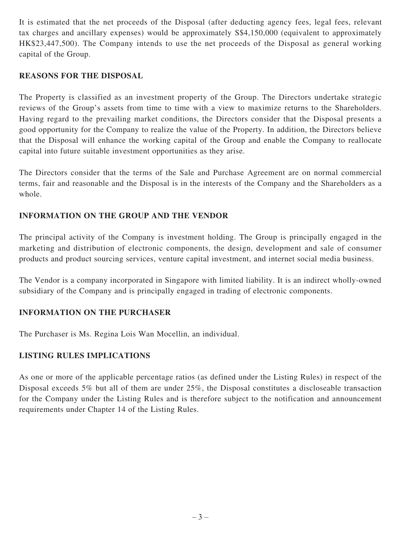It is estimated that the net proceeds of the Disposal (after deducting agency fees, legal fees, relevant tax charges and ancillary expenses) would be approximately S\$4,150,000 (equivalent to approximately HK\$23,447,500). The Company intends to use the net proceeds of the Disposal as general working capital of the Group.

#### **REASONS FOR THE DISPOSAL**

The Property is classified as an investment property of the Group. The Directors undertake strategic reviews of the Group's assets from time to time with a view to maximize returns to the Shareholders. Having regard to the prevailing market conditions, the Directors consider that the Disposal presents a good opportunity for the Company to realize the value of the Property. In addition, the Directors believe that the Disposal will enhance the working capital of the Group and enable the Company to reallocate capital into future suitable investment opportunities as they arise.

The Directors consider that the terms of the Sale and Purchase Agreement are on normal commercial terms, fair and reasonable and the Disposal is in the interests of the Company and the Shareholders as a whole.

### **INFORMATION ON THE GROUP AND THE VENDOR**

The principal activity of the Company is investment holding. The Group is principally engaged in the marketing and distribution of electronic components, the design, development and sale of consumer products and product sourcing services, venture capital investment, and internet social media business.

The Vendor is a company incorporated in Singapore with limited liability. It is an indirect wholly-owned subsidiary of the Company and is principally engaged in trading of electronic components.

### **INFORMATION ON THE PURCHASER**

The Purchaser is Ms. Regina Lois Wan Mocellin, an individual.

### **LISTING RULES IMPLICATIONS**

As one or more of the applicable percentage ratios (as defined under the Listing Rules) in respect of the Disposal exceeds 5% but all of them are under 25%, the Disposal constitutes a discloseable transaction for the Company under the Listing Rules and is therefore subject to the notification and announcement requirements under Chapter 14 of the Listing Rules.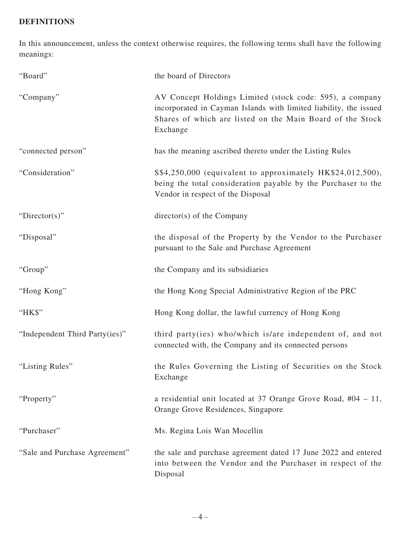# **DEFINITIONS**

In this announcement, unless the context otherwise requires, the following terms shall have the following meanings:

| "Board"                        | the board of Directors                                                                                                                                                                                 |
|--------------------------------|--------------------------------------------------------------------------------------------------------------------------------------------------------------------------------------------------------|
| "Company"                      | AV Concept Holdings Limited (stock code: 595), a company<br>incorporated in Cayman Islands with limited liability, the issued<br>Shares of which are listed on the Main Board of the Stock<br>Exchange |
| "connected person"             | has the meaning ascribed thereto under the Listing Rules                                                                                                                                               |
| "Consideration"                | S\$4,250,000 (equivalent to approximately HK\$24,012,500),<br>being the total consideration payable by the Purchaser to the<br>Vendor in respect of the Disposal                                       |
| "Director(s)"                  | $directory(s)$ of the Company                                                                                                                                                                          |
| "Disposal"                     | the disposal of the Property by the Vendor to the Purchaser<br>pursuant to the Sale and Purchase Agreement                                                                                             |
| "Group"                        | the Company and its subsidiaries                                                                                                                                                                       |
| "Hong Kong"                    | the Hong Kong Special Administrative Region of the PRC                                                                                                                                                 |
| "HK\$"                         | Hong Kong dollar, the lawful currency of Hong Kong                                                                                                                                                     |
| "Independent Third Party(ies)" | third party(ies) who/which is/are independent of, and not<br>connected with, the Company and its connected persons                                                                                     |
| "Listing Rules"                | the Rules Governing the Listing of Securities on the Stock<br>Exchange                                                                                                                                 |
| "Property"                     | a residential unit located at 37 Orange Grove Road, $#04 - 11$ ,<br>Orange Grove Residences, Singapore                                                                                                 |
| "Purchaser"                    | Ms. Regina Lois Wan Mocellin                                                                                                                                                                           |
| "Sale and Purchase Agreement"  | the sale and purchase agreement dated 17 June 2022 and entered<br>into between the Vendor and the Purchaser in respect of the<br>Disposal                                                              |